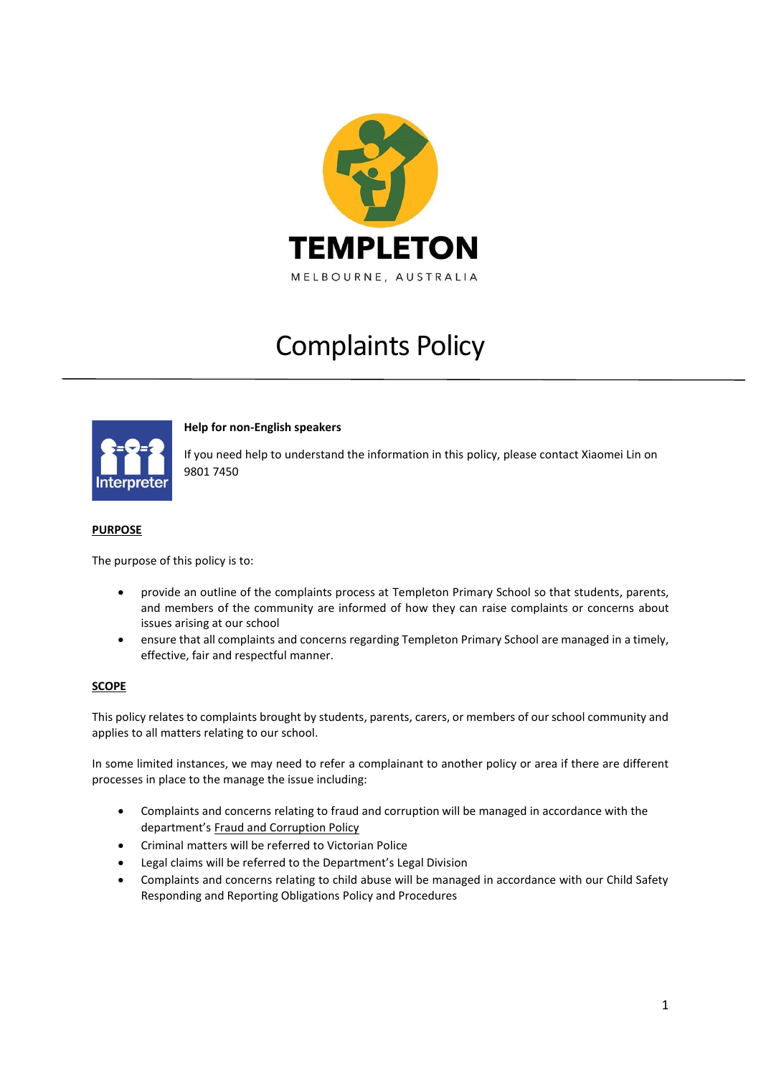

# Complaints Policy



**Help for non-English speakers**

If you need help to understand the information in this policy, please contact Xiaomei Lin on 9801 7450

## **PURPOSE**

The purpose of this policy is to:

- provide an outline of the complaints process at Templeton Primary School so that students, parents, and members of the community are informed of how they can raise complaints or concerns about issues arising at our school
- ensure that all complaints and concerns regarding Templeton Primary School are managed in a timely, effective, fair and respectful manner.

#### **SCOPE**

This policy relates to complaints brought by students, parents, carers, or members of our school community and applies to all matters relating to our school.

In some limited instances, we may need to refer a complainant to another policy or area if there are different processes in place to the manage the issue including:

- Complaints and concerns relating to fraud and corruption will be managed in accordance with the department's [Fraud and Corruption Policy](https://www2.education.vic.gov.au/pal/report-fraud-or-corruption/overview)
- Criminal matters will be referred to Victorian Police
- Legal claims will be referred to the Department's Legal Division
- Complaints and concerns relating to child abuse will be managed in accordance with our Child Safety Responding and Reporting Obligations Policy and Procedures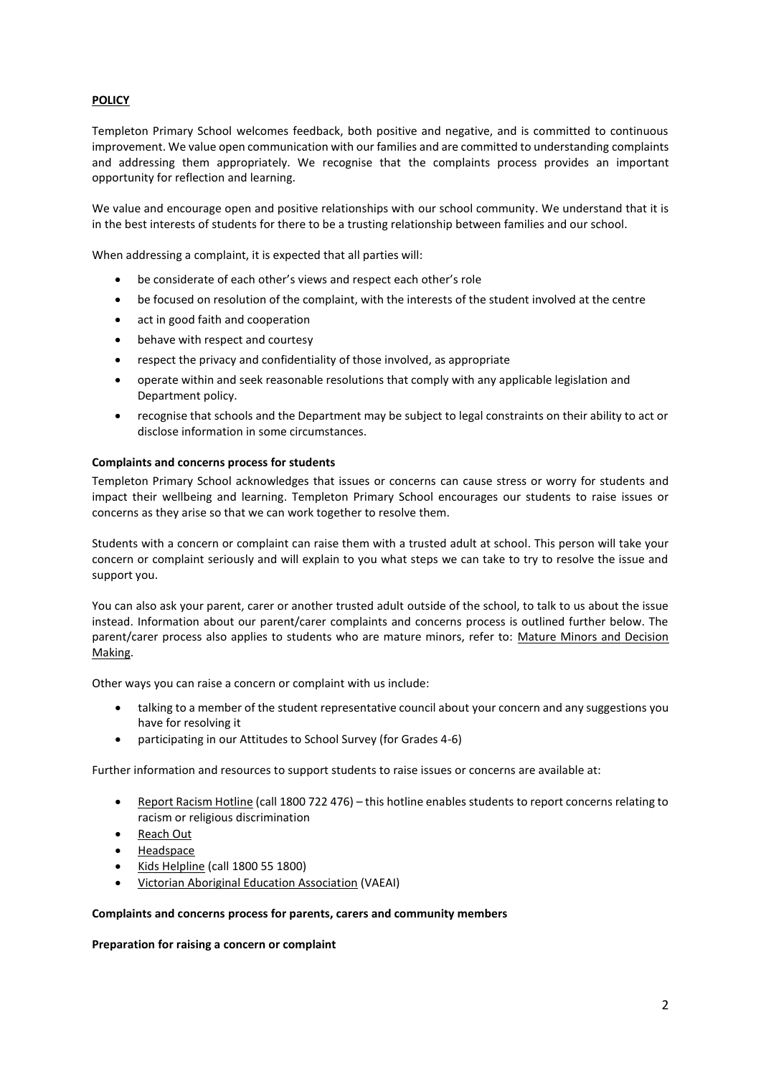# **POLICY**

Templeton Primary School welcomes feedback, both positive and negative, and is committed to continuous improvement. We value open communication with our families and are committed to understanding complaints and addressing them appropriately. We recognise that the complaints process provides an important opportunity for reflection and learning.

We value and encourage open and positive relationships with our school community. We understand that it is in the best interests of students for there to be a trusting relationship between families and our school.

When addressing a complaint, it is expected that all parties will:

- be considerate of each other's views and respect each other's role
- be focused on resolution of the complaint, with the interests of the student involved at the centre
- act in good faith and cooperation
- behave with respect and courtesy
- respect the privacy and confidentiality of those involved, as appropriate
- operate within and seek reasonable resolutions that comply with any applicable legislation and Department policy.
- recognise that schools and the Department may be subject to legal constraints on their ability to act or disclose information in some circumstances.

#### **Complaints and concerns process for students**

Templeton Primary School acknowledges that issues or concerns can cause stress or worry for students and impact their wellbeing and learning. Templeton Primary School encourages our students to raise issues or concerns as they arise so that we can work together to resolve them.

Students with a concern or complaint can raise them with a trusted adult at school. This person will take your concern or complaint seriously and will explain to you what steps we can take to try to resolve the issue and support you.

You can also ask your parent, carer or another trusted adult outside of the school, to talk to us about the issue instead. Information about our parent/carer complaints and concerns process is outlined further below. The parent/carer process also applies to students who are mature minors, refer to: [Mature Minors and Decision](https://www2.education.vic.gov.au/pal/mature-minors-and-decision-making/policy)  [Making.](https://www2.education.vic.gov.au/pal/mature-minors-and-decision-making/policy)

Other ways you can raise a concern or complaint with us include:

- talking to a member of the student representative council about your concern and any suggestions you have for resolving it
- participating in our Attitudes to School Survey (for Grades 4-6)

Further information and resources to support students to raise issues or concerns are available at:

- [Report Racism Hotline](https://www.vic.gov.au/report-racism-or-religious-discrimination-schools) (call 1800 722 476) this hotline enables students to report concerns relating to racism or religious discrimination
- [Reach Out](https://au.reachout.com/?gclid=CjwKCAiAgbiQBhAHEiwAuQ6BktaB5xneGFK3TnOql5c5eZ7af7dDm9ffLZa7N59FEtbtQzVIk8sGWhoC8N0QAvD_BwE)
- [Headspace](https://headspace.org.au/)
- [Kids Helpline](https://kidshelpline.com.au/?gclid=CjwKCAiAgbiQBhAHEiwAuQ6Bkro6UD2EBcRILznFnRhKjfi5I84jJlUa0fyiiYLQ4mHx5sXTStxH8BoCCEIQAvD_BwE) (call 1800 55 1800)
- [Victorian Aboriginal Education Association](https://www.vaeai.org.au/) (VAEAI)

#### **Complaints and concerns process for parents, carers and community members**

**Preparation for raising a concern or complaint**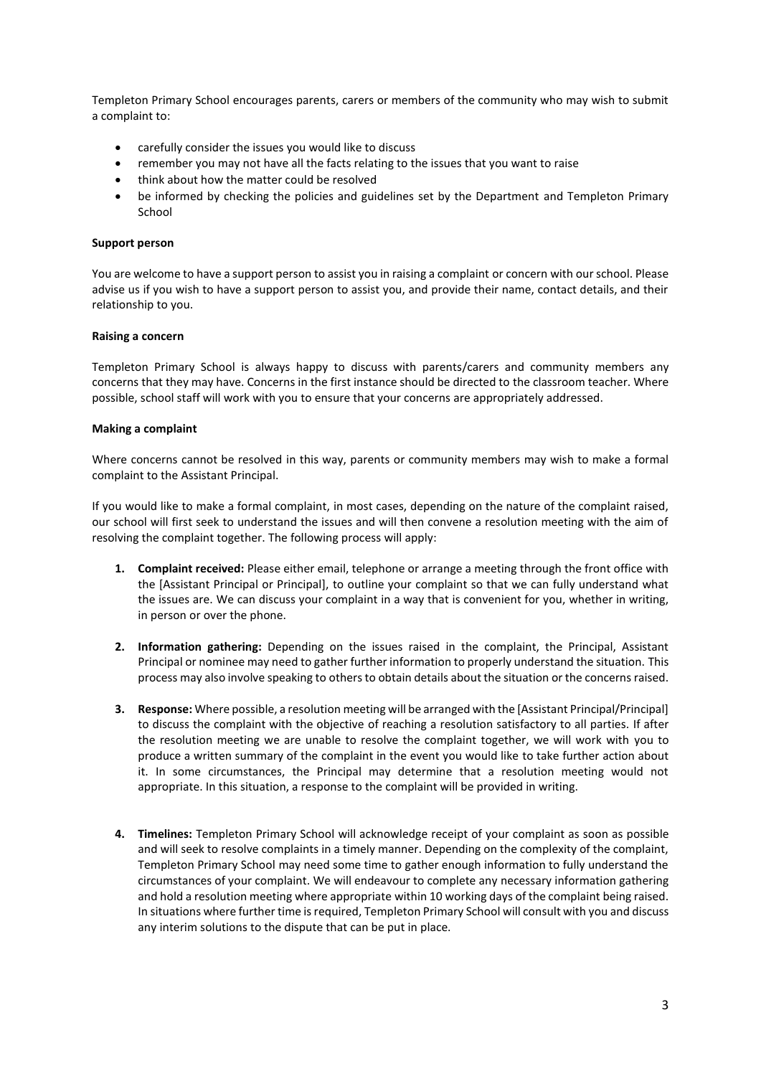Templeton Primary School encourages parents, carers or members of the community who may wish to submit a complaint to:

- carefully consider the issues you would like to discuss
- remember you may not have all the facts relating to the issues that you want to raise
- think about how the matter could be resolved
- be informed by checking the policies and guidelines set by the Department and Templeton Primary School

#### **Support person**

You are welcome to have a support person to assist you in raising a complaint or concern with our school. Please advise us if you wish to have a support person to assist you, and provide their name, contact details, and their relationship to you.

#### **Raising a concern**

Templeton Primary School is always happy to discuss with parents/carers and community members any concerns that they may have. Concerns in the first instance should be directed to the classroom teacher. Where possible, school staff will work with you to ensure that your concerns are appropriately addressed.

#### **Making a complaint**

Where concerns cannot be resolved in this way, parents or community members may wish to make a formal complaint to the Assistant Principal.

If you would like to make a formal complaint, in most cases, depending on the nature of the complaint raised, our school will first seek to understand the issues and will then convene a resolution meeting with the aim of resolving the complaint together. The following process will apply:

- **1. Complaint received:** Please either email, telephone or arrange a meeting through the front office with the [Assistant Principal or Principal], to outline your complaint so that we can fully understand what the issues are. We can discuss your complaint in a way that is convenient for you, whether in writing, in person or over the phone.
- **2. Information gathering:** Depending on the issues raised in the complaint, the Principal, Assistant Principal or nominee may need to gather further information to properly understand the situation. This process may also involve speaking to othersto obtain details about the situation or the concerns raised.
- **3. Response:** Where possible, a resolution meeting will be arranged with the [Assistant Principal/Principal] to discuss the complaint with the objective of reaching a resolution satisfactory to all parties. If after the resolution meeting we are unable to resolve the complaint together, we will work with you to produce a written summary of the complaint in the event you would like to take further action about it. In some circumstances, the Principal may determine that a resolution meeting would not appropriate. In this situation, a response to the complaint will be provided in writing.
- **4. Timelines:** Templeton Primary School will acknowledge receipt of your complaint as soon as possible and will seek to resolve complaints in a timely manner. Depending on the complexity of the complaint, Templeton Primary School may need some time to gather enough information to fully understand the circumstances of your complaint. We will endeavour to complete any necessary information gathering and hold a resolution meeting where appropriate within 10 working days of the complaint being raised. In situations where further time is required, Templeton Primary School will consult with you and discuss any interim solutions to the dispute that can be put in place.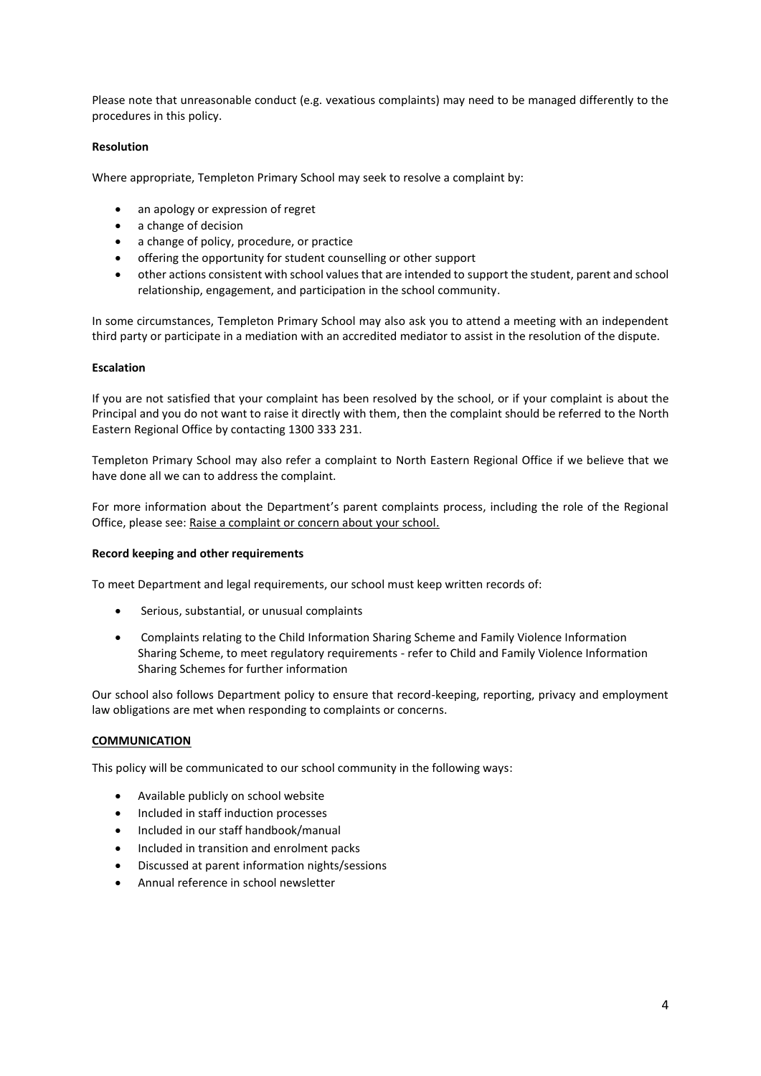Please note that unreasonable conduct (e.g. vexatious complaints) may need to be managed differently to the procedures in this policy.

### **Resolution**

Where appropriate, Templeton Primary School may seek to resolve a complaint by:

- an apology or expression of regret
- a change of decision
- a change of policy, procedure, or practice
- offering the opportunity for student counselling or other support
- other actions consistent with school values that are intended to support the student, parent and school relationship, engagement, and participation in the school community.

In some circumstances, Templeton Primary School may also ask you to attend a meeting with an independent third party or participate in a mediation with an accredited mediator to assist in the resolution of the dispute.

#### **Escalation**

If you are not satisfied that your complaint has been resolved by the school, or if your complaint is about the Principal and you do not want to raise it directly with them, then the complaint should be referred to the North Eastern Regional Office by contacting 1300 333 231.

Templeton Primary School may also refer a complaint to North Eastern Regional Office if we believe that we have done all we can to address the complaint.

For more information about the Department's parent complaints process, including the role of the Regional Office, please see: [Raise a complaint or concern about your school.](https://www.vic.gov.au/raise-complaint-or-concern-about-your-school#speaking-to-your-school)

#### **Record keeping and other requirements**

To meet Department and legal requirements, our school must keep written records of:

- Serious, substantial, or unusual complaints
- Complaints relating to the Child Information Sharing Scheme and Family Violence Information Sharing Scheme, to meet regulatory requirements - refer to Child and Family Violence Information Sharing Schemes for further information

Our school also follows Department policy to ensure that record-keeping, reporting, privacy and employment law obligations are met when responding to complaints or concerns.

#### **COMMUNICATION**

This policy will be communicated to our school community in the following ways:

- Available publicly on school website
- Included in staff induction processes
- Included in our staff handbook/manual
- Included in transition and enrolment packs
- Discussed at parent information nights/sessions
- Annual reference in school newsletter